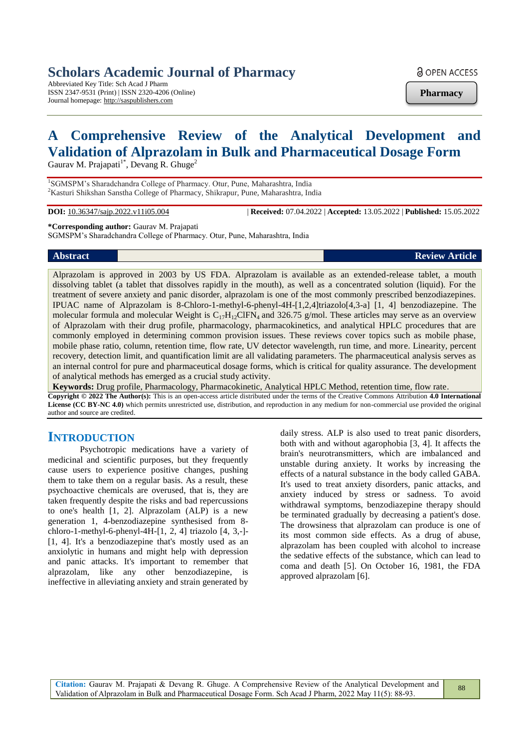# **Scholars Academic Journal of Pharmacy**

Abbreviated Key Title: Sch Acad J Pharm ISSN 2347-9531 (Print) | ISSN 2320-4206 (Online) Journal homepage: http://saspublishers.com

**a** OPEN ACCESS

**Pharmacy**

# **A Comprehensive Review of the Analytical Development and Validation of Alprazolam in Bulk and Pharmaceutical Dosage Form**

Gaurav M. Prajapati<sup>1\*</sup>, Devang R. Ghuge<sup>2</sup>

<sup>1</sup>SGMSPM's Sharadchandra College of Pharmacy. Otur, Pune, Maharashtra, India <sup>2</sup>Kasturi Shikshan Sanstha College of Pharmacy, Shikrapur, Pune, Maharashtra, India

**DOI:** 10.36347/sajp.2022.v11i05.004 | **Received:** 07.04.2022 | **Accepted:** 13.05.2022 | **Published:** 15.05.2022

#### **\*Corresponding author:** Gaurav M. Prajapati

SGMSPM's Sharadchandra College of Pharmacy. Otur, Pune, Maharashtra, India

#### **Abstract Review Article**

Alprazolam is approved in 2003 by US FDA. Alprazolam is available as an extended-release tablet, a mouth dissolving tablet (a tablet that dissolves rapidly in the mouth), as well as a concentrated solution (liquid). For the treatment of severe anxiety and panic disorder, alprazolam is one of the most commonly prescribed benzodiazepines. IPUAC name of Alprazolam is 8-Chloro-1-methyl-6-phenyl-4H-[1,2,4]triazolo[4,3-a] [1, 4] benzodiazepine. The molecular formula and molecular Weight is  $C_{17}H_{12}CIFN_4$  and 326.75 g/mol. These articles may serve as an overview of Alprazolam with their drug profile, pharmacology, pharmacokinetics, and analytical HPLC procedures that are commonly employed in determining common provision issues. These reviews cover topics such as mobile phase, mobile phase ratio, column, retention time, flow rate, UV detector wavelength, run time, and more. Linearity, percent recovery, detection limit, and quantification limit are all validating parameters. The pharmaceutical analysis serves as an internal control for pure and pharmaceutical dosage forms, which is critical for quality assurance. The development of analytical methods has emerged as a crucial study activity.

**Keywords:** Drug profile, Pharmacology, Pharmacokinetic, Analytical HPLC Method, retention time, flow rate. **Copyright © 2022 The Author(s):** This is an open-access article distributed under the terms of the Creative Commons Attribution **4.0 International License (CC BY-NC 4.0)** which permits unrestricted use, distribution, and reproduction in any medium for non-commercial use provided the original author and source are credited.

# **INTRODUCTION**

Psychotropic medications have a variety of medicinal and scientific purposes, but they frequently cause users to experience positive changes, pushing them to take them on a regular basis. As a result, these psychoactive chemicals are overused, that is, they are taken frequently despite the risks and bad repercussions to one's health [1, 2]. Alprazolam (ALP) is a new generation 1, 4-benzodiazepine synthesised from 8 chloro-1-methyl-6-phenyl-4H-[1, 2, 4] triazolo [4, 3,-]- [1, 4]. It's a benzodiazepine that's mostly used as an anxiolytic in humans and might help with depression and panic attacks. It's important to remember that alprazolam, like any other benzodiazepine, is ineffective in alleviating anxiety and strain generated by daily stress. ALP is also used to treat panic disorders, both with and without agarophobia [3, 4]. It affects the brain's neurotransmitters, which are imbalanced and unstable during anxiety. It works by increasing the effects of a natural substance in the body called GABA. It's used to treat anxiety disorders, panic attacks, and anxiety induced by stress or sadness. To avoid withdrawal symptoms, benzodiazepine therapy should be terminated gradually by decreasing a patient's dose. The drowsiness that alprazolam can produce is one of its most common side effects. As a drug of abuse, alprazolam has been coupled with alcohol to increase the sedative effects of the substance, which can lead to coma and death [5]. On October 16, 1981, the FDA approved alprazolam [6].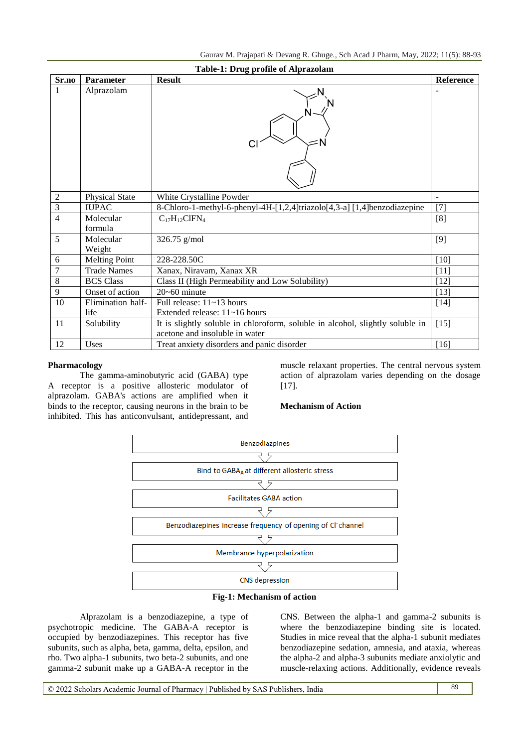| Table-1: Drug profile of Alprazolam |                      |                                                                               |                  |  |  |  |  |  |
|-------------------------------------|----------------------|-------------------------------------------------------------------------------|------------------|--|--|--|--|--|
| Sr.no                               | <b>Parameter</b>     | <b>Result</b>                                                                 | <b>Reference</b> |  |  |  |  |  |
| 1                                   | Alprazolam           |                                                                               |                  |  |  |  |  |  |
| 2                                   | Physical State       | White Crystalline Powder                                                      | $\blacksquare$   |  |  |  |  |  |
| 3                                   | <b>IUPAC</b>         | 8-Chloro-1-methyl-6-phenyl-4H-[1,2,4]triazolo[4,3-a] [1,4]benzodiazepine      | $[7]$            |  |  |  |  |  |
| 4                                   | Molecular            | $C_{17}H_{12}CIFN_4$                                                          | [8]              |  |  |  |  |  |
|                                     | formula              |                                                                               |                  |  |  |  |  |  |
| 5                                   | Molecular            | 326.75 g/mol                                                                  | $[9]$            |  |  |  |  |  |
|                                     | Weight               |                                                                               |                  |  |  |  |  |  |
| 6                                   | <b>Melting Point</b> | 228-228.50C                                                                   | $[10]$           |  |  |  |  |  |
| $\overline{7}$                      | <b>Trade Names</b>   | Xanax, Niravam, Xanax XR                                                      | $[11]$           |  |  |  |  |  |
| 8                                   | <b>BCS Class</b>     | Class II (High Permeability and Low Solubility)                               | $[12]$           |  |  |  |  |  |
| 9                                   | Onset of action      | $20 - 60$ minute                                                              | $[13]$           |  |  |  |  |  |
| 10                                  | Elimination half-    | Full release: $11 \sim 13$ hours                                              | $[14]$           |  |  |  |  |  |
|                                     | life                 | Extended release: $11~1$ ~ 16 hours                                           |                  |  |  |  |  |  |
| 11                                  | Solubility           | It is slightly soluble in chloroform, soluble in alcohol, slightly soluble in | $[15]$           |  |  |  |  |  |
|                                     |                      | acetone and insoluble in water                                                |                  |  |  |  |  |  |
| 12                                  | Uses                 | Treat anxiety disorders and panic disorder                                    | $[16]$           |  |  |  |  |  |

#### **Pharmacology**

The gamma-aminobutyric acid (GABA) type A receptor is a positive allosteric modulator of alprazolam. GABA's actions are amplified when it binds to the receptor, causing neurons in the brain to be inhibited. This has anticonvulsant, antidepressant, and muscle relaxant properties. The central nervous system action of alprazolam varies depending on the dosage [17].

#### **Mechanism of Action**



### **Fig-1: Mechanism of action**

Alprazolam is a benzodiazepine, a type of psychotropic medicine. The GABA-A receptor is occupied by benzodiazepines. This receptor has five subunits, such as alpha, beta, gamma, delta, epsilon, and rho. Two alpha-1 subunits, two beta-2 subunits, and one gamma-2 subunit make up a GABA-A receptor in the

CNS. Between the alpha-1 and gamma-2 subunits is where the benzodiazepine binding site is located. Studies in mice reveal that the alpha-1 subunit mediates benzodiazepine sedation, amnesia, and ataxia, whereas the alpha-2 and alpha-3 subunits mediate anxiolytic and muscle-relaxing actions. Additionally, evidence reveals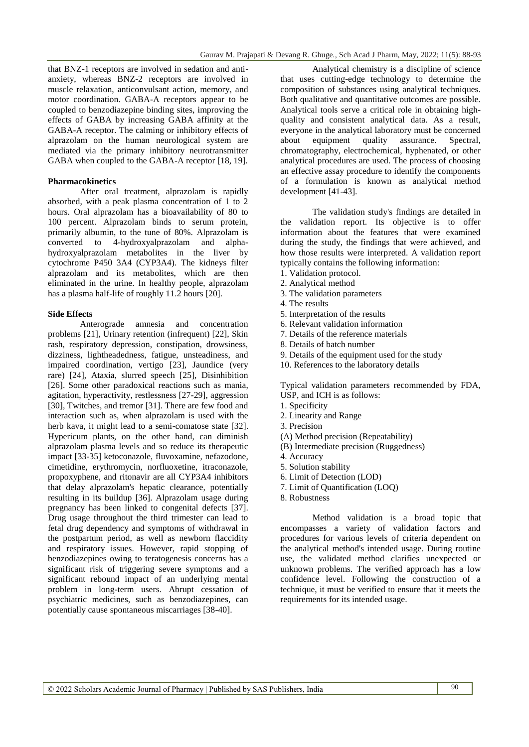that BNZ-1 receptors are involved in sedation and antianxiety, whereas BNZ-2 receptors are involved in muscle relaxation, anticonvulsant action, memory, and motor coordination. GABA-A receptors appear to be coupled to benzodiazepine binding sites, improving the effects of GABA by increasing GABA affinity at the GABA-A receptor. The calming or inhibitory effects of alprazolam on the human neurological system are mediated via the primary inhibitory neurotransmitter GABA when coupled to the GABA-A receptor [18, 19].

#### **Pharmacokinetics**

After oral treatment, alprazolam is rapidly absorbed, with a peak plasma concentration of 1 to 2 hours. Oral alprazolam has a bioavailability of 80 to 100 percent. Alprazolam binds to serum protein, primarily albumin, to the tune of 80%. Alprazolam is converted to 4-hydroxyalprazolam and alphahydroxyalprazolam metabolites in the liver by cytochrome P450 3A4 (CYP3A4). The kidneys filter alprazolam and its metabolites, which are then eliminated in the urine. In healthy people, alprazolam has a plasma half-life of roughly 11.2 hours [20].

#### **Side Effects**

Anterograde amnesia and concentration problems [21], Urinary retention (infrequent) [22], Skin rash, respiratory depression, constipation, drowsiness, dizziness, lightheadedness, fatigue, unsteadiness, and impaired coordination, vertigo [23], Jaundice (very rare) [24], Ataxia, slurred speech [25], Disinhibition [26]. Some other paradoxical reactions such as mania, agitation, hyperactivity, restlessness [27-29], aggression [30], Twitches, and tremor [31]. There are few food and interaction such as, when alprazolam is used with the herb kava, it might lead to a semi-comatose state [32]. Hypericum plants, on the other hand, can diminish alprazolam plasma levels and so reduce its therapeutic impact [33-35] ketoconazole, fluvoxamine, nefazodone, cimetidine, erythromycin, norfluoxetine, itraconazole, propoxyphene, and ritonavir are all CYP3A4 inhibitors that delay alprazolam's hepatic clearance, potentially resulting in its buildup [36]. Alprazolam usage during pregnancy has been linked to congenital defects [37]. Drug usage throughout the third trimester can lead to fetal drug dependency and symptoms of withdrawal in the postpartum period, as well as newborn flaccidity and respiratory issues. However, rapid stopping of benzodiazepines owing to teratogenesis concerns has a significant risk of triggering severe symptoms and a significant rebound impact of an underlying mental problem in long-term users. Abrupt cessation of psychiatric medicines, such as benzodiazepines, can potentially cause spontaneous miscarriages [38-40].

Analytical chemistry is a discipline of science that uses cutting-edge technology to determine the composition of substances using analytical techniques. Both qualitative and quantitative outcomes are possible. Analytical tools serve a critical role in obtaining highquality and consistent analytical data. As a result, everyone in the analytical laboratory must be concerned about equipment quality assurance. Spectral, chromatography, electrochemical, hyphenated, or other analytical procedures are used. The process of choosing an effective assay procedure to identify the components of a formulation is known as analytical method development [41-43].

The validation study's findings are detailed in the validation report. Its objective is to offer information about the features that were examined during the study, the findings that were achieved, and how those results were interpreted. A validation report typically contains the following information:

- 1. Validation protocol.
- 2. Analytical method
- 3. The validation parameters
- 4. The results
- 5. Interpretation of the results
- 6. Relevant validation information
- 7. Details of the reference materials
- 8. Details of batch number
- 9. Details of the equipment used for the study
- 10. References to the laboratory details

Typical validation parameters recommended by FDA, USP, and ICH is as follows:

- 1. Specificity
- 2. Linearity and Range
- 3. Precision
- (A) Method precision (Repeatability)
- (B) Intermediate precision (Ruggedness)
- 4. Accuracy
- 5. Solution stability
- 6. Limit of Detection (LOD)
- 7. Limit of Quantification (LOQ)
- 8. Robustness

Method validation is a broad topic that encompasses a variety of validation factors and procedures for various levels of criteria dependent on the analytical method's intended usage. During routine use, the validated method clarifies unexpected or unknown problems. The verified approach has a low confidence level. Following the construction of a technique, it must be verified to ensure that it meets the requirements for its intended usage.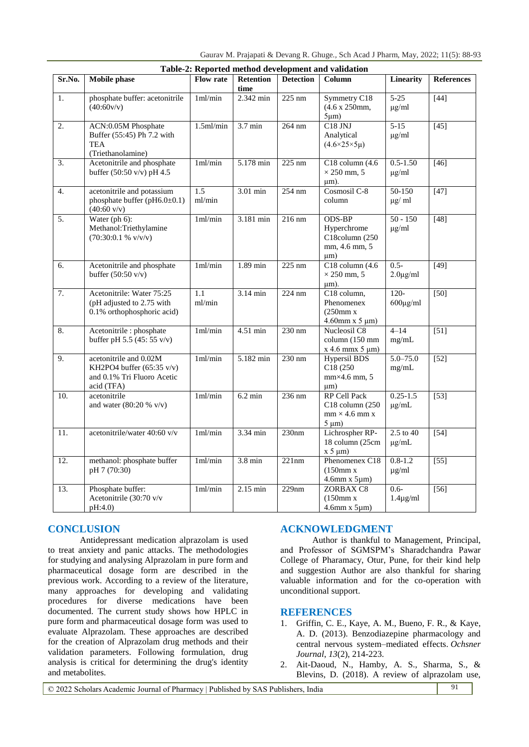| Table-2: Reported method development and validation |                                                                                                           |                  |                          |                  |                                                                                    |                            |                   |  |  |  |  |
|-----------------------------------------------------|-----------------------------------------------------------------------------------------------------------|------------------|--------------------------|------------------|------------------------------------------------------------------------------------|----------------------------|-------------------|--|--|--|--|
| Sr.No.                                              | <b>Mobile</b> phase                                                                                       | <b>Flow rate</b> | <b>Retention</b><br>time | <b>Detection</b> | Column                                                                             | <b>Linearity</b>           | <b>References</b> |  |  |  |  |
| 1.                                                  | phosphate buffer: acetonitrile<br>(40:60v/v)                                                              | 1ml/min          | 2.342 min                | 225 nm           | Symmetry C18<br>(4.6 x 250mm,<br>$5 \mu m$ )                                       | $5 - 25$<br>$\mu$ g/ml     | $[44]$            |  |  |  |  |
| 2.                                                  | ACN:0.05M Phosphate<br>Buffer (55:45) Ph 7.2 with<br><b>TEA</b><br>(Triethanolamine)                      | $1.5$ ml/min     | 3.7 min                  | 264 nm           | C <sub>18</sub> JNJ<br>Analytical<br>$(4.6 \times 25 \times 5 \mu)$                | $5 - 15$<br>$\mu$ g/ml     | $[45]$            |  |  |  |  |
| 3.                                                  | Acetonitrile and phosphate<br>buffer (50:50 v/v) pH 4.5                                                   | 1ml/min          | 5.178 min                | $225 \text{ nm}$ | $C18$ column $(4.6)$<br>$\times$ 250 mm, 5<br>$\mu$ m).                            | $0.5 - 1.50$<br>$\mu$ g/ml | $[46]$            |  |  |  |  |
| $\overline{4}$ .                                    | acetonitrile and potassium<br>phosphate buffer (pH6.0±0.1)<br>$(40:60 \text{ v/v})$                       | 1.5<br>ml/min    | 3.01 min                 | 254 nm           | Cosmosil C-8<br>column                                                             | 50-150<br>$\mu$ g/ ml      | $[47]$            |  |  |  |  |
| 5.                                                  | Water (ph 6):<br>Methanol:Triethylamine<br>(70:30:0.1 % v/v/v)                                            | $1m$ /min        | 3.181 min                | $216 \text{ nm}$ | <b>ODS-BP</b><br>Hyperchrome<br>C18column (250<br>mm, 4.6 mm, 5<br>$\mu$ m)        | $50 - 150$<br>$\mu$ g/ml   | $[48]$            |  |  |  |  |
| 6.                                                  | Acetonitrile and phosphate<br>buffer $(50:50 \text{ v/v})$                                                | $1m$ / $min$     | 1.89 min                 | 225 nm           | $C18$ column $(4.6)$<br>$\times$ 250 mm, 5<br>$\mu$ m).                            | $0.5 -$<br>$2.0 \mu g/ml$  | $\boxed{49}$      |  |  |  |  |
| $\overline{7}$ .                                    | Acetonitrile: Water 75:25<br>(pH adjusted to 2.75 with<br>0.1% orthophosphoric acid)                      | 1.1<br>ml/min    | 3.14 min                 | $224 \text{ nm}$ | C18 column,<br>Phenomenex<br>$(250$ mm x<br>$4.60$ mm x 5 µm)                      | $120 -$<br>$600 \mu g/ml$  | $\overline{[50]}$ |  |  |  |  |
| 8.                                                  | Acetonitrile : phosphate<br>buffer pH 5.5 (45: 55 $v/v$ )                                                 | 1ml/min          | $4.51 \text{ min}$       | $230$ nm         | Nucleosil C8<br>column (150 mm<br>$x$ 4.6 mm $x$ 5 $\mu$ m)                        | $4 - 14$<br>mg/mL          | $\overline{[51]}$ |  |  |  |  |
| 9.                                                  | acetonitrile and 0.02M<br>KH2PO4 buffer $(65:35 \text{ v/v})$<br>and 0.1% Tri Fluoro Acetic<br>acid (TFA) | 1ml/min          | 5.182 min                | 230 nm           | <b>Hypersil BDS</b><br>C18 (250<br>$mm\times4.6$ mm, 5<br>$\mu$ m)                 | $5.0 - 75.0$<br>mg/mL      | $[52]$            |  |  |  |  |
| 10.                                                 | acetonitrile<br>and water $(80:20 % v/v)$                                                                 | 1ml/min          | $6.2 \text{ min}$        | 236 nm           | <b>RP Cell Pack</b><br>$C18$ column $(250)$<br>$mm \times 4.6 mm x$<br>$5 \mu m$ ) | $0.25 - 1.5$<br>$\mu$ g/mL | $[53]$            |  |  |  |  |
| 11.                                                 | acetonitrile/water 40:60 v/v                                                                              | $1m$ / $min$     | 3.34 min                 | 230nm            | Lichrospher RP-<br>18 column (25cm<br>$x 5 \mu m$                                  | $2.5$ to 40<br>$\mu$ g/mL  | $[54]$            |  |  |  |  |
| 12.                                                 | methanol: phosphate buffer<br>pH 7 (70:30)                                                                | 1ml/min          | $3.8 \text{ min}$        | 221nm            | Phenomenex C18<br>$(150$ mm x<br>$4.6$ mm x $5 \mu$ m)                             | $0.8 - 1.2$<br>$\mu$ g/ml  | $\overline{[55]}$ |  |  |  |  |
| 13.                                                 | Phosphate buffer:<br>Acetonitrile (30:70 v/v<br>pH:4.0                                                    | $1m$ / $min$     | $2.15$ min               | 229nm            | <b>ZORBAX C8</b><br>$(150 \text{mm} \text{ x})$<br>$4.6$ mm x $5 \mu m$ )          | $0.6 -$<br>$1.4\mu g/ml$   | $\overline{[56]}$ |  |  |  |  |

# **CONCLUSION**

Antidepressant medication alprazolam is used to treat anxiety and panic attacks. The methodologies for studying and analysing Alprazolam in pure form and pharmaceutical dosage form are described in the previous work. According to a review of the literature, many approaches for developing and validating procedures for diverse medications have been documented. The current study shows how HPLC in pure form and pharmaceutical dosage form was used to evaluate Alprazolam. These approaches are described for the creation of Alprazolam drug methods and their validation parameters. Following formulation, drug analysis is critical for determining the drug's identity and metabolites.

# **ACKNOWLEDGMENT**

Author is thankful to Management, Principal, and Professor of SGMSPM's Sharadchandra Pawar College of Pharamacy, Otur, Pune, for their kind help and suggestion Author are also thankful for sharing valuable information and for the co-operation with unconditional support.

#### **REFERENCES**

- 1. Griffin, C. E., Kaye, A. M., Bueno, F. R., & Kaye, A. D. (2013). Benzodiazepine pharmacology and central nervous system–mediated effects. *Ochsner Journal*, *13*(2), 214-223.
- 2. Ait-Daoud, N., Hamby, A. S., Sharma, S., & Blevins, D. (2018). A review of alprazolam use,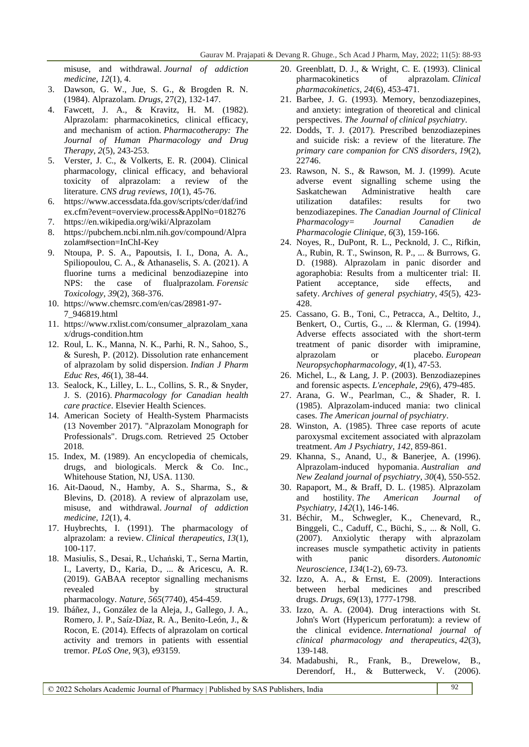misuse, and withdrawal. *Journal of addiction medicine*, *12*(1), 4.

- 3. Dawson, G. W., Jue, S. G., & Brogden R. N. (1984). Alprazolam. *Drugs*, 27(2), 132-147.
- 4. Fawcett, J. A., & Kravitz, H. M. (1982). Alprazolam: pharmacokinetics, clinical efficacy, and mechanism of action. *Pharmacotherapy: The Journal of Human Pharmacology and Drug Therapy*, *2*(5), 243-253.
- 5. Verster, J. C., & Volkerts, E. R. (2004). Clinical pharmacology, clinical efficacy, and behavioral toxicity of alprazolam: a review of the literature. *CNS drug reviews*, *10*(1), 45-76.
- 6. [https://www.accessdata.fda.gov/scripts/cder/daf/ind](https://www.accessdata.fda.gov/scripts/cder/daf/index.cfm?event=overview.process&ApplNo=018276) [ex.cfm?event=overview.process&ApplNo=018276](https://www.accessdata.fda.gov/scripts/cder/daf/index.cfm?event=overview.process&ApplNo=018276)
- 7. https://en.wikipedia.org/wiki/Alprazolam
- 8. [https://pubchem.ncbi.nlm.nih.gov/compound/Alpra](https://pubchem.ncbi.nlm.nih.gov/compound/Alprazolam#section=InChI-Key) [zolam#section=InChI-Key](https://pubchem.ncbi.nlm.nih.gov/compound/Alprazolam#section=InChI-Key)
- 9. Ntoupa, P. S. A., Papoutsis, I. I., Dona, A. A., Spiliopoulou, C. A., & Athanaselis, S. A. (2021). A fluorine turns a medicinal benzodiazepine into NPS: the case of flualprazolam. *Forensic Toxicology*, *39*(2), 368-376.
- 10. [https://www.chemsrc.com/en/cas/28981-97-](https://www.chemsrc.com/en/cas/28981-97-7_946819.html) [7\\_946819.html](https://www.chemsrc.com/en/cas/28981-97-7_946819.html)
- 11. [https://www.rxlist.com/consumer\\_alprazolam\\_xana](https://www.rxlist.com/consumer_alprazolam_xanax/drugs-condition.htm) [x/drugs-condition.htm](https://www.rxlist.com/consumer_alprazolam_xanax/drugs-condition.htm)
- 12. Roul, L. K., Manna, N. K., Parhi, R. N., Sahoo, S., & Suresh, P. (2012). Dissolution rate enhancement of alprazolam by solid dispersion. *Indian J Pharm Educ Res*, *46*(1), 38-44.
- 13. Sealock, K., Lilley, L. L., Collins, S. R., & Snyder, J. S. (2016). *Pharmacology for Canadian health care practice*. Elsevier Health Sciences.
- 14. American Society of Health-System Pharmacists (13 November 2017). "Alprazolam Monograph for Professionals". Drugs.com. Retrieved 25 October 2018.
- 15. Index, M. (1989). An encyclopedia of chemicals, drugs, and biologicals. Merck & Co. Inc., Whitehouse Station, NJ, USA. 1130.
- 16. Ait-Daoud, N., Hamby, A. S., Sharma, S., & Blevins, D. (2018). A review of alprazolam use, misuse, and withdrawal. *Journal of addiction medicine*, *12*(1), 4.
- 17. Huybrechts, I. (1991). The pharmacology of alprazolam: a review. *Clinical therapeutics*, *13*(1), 100-117.
- 18. Masiulis, S., Desai, R., Uchański, T., Serna Martin, I., Laverty, D., Karia, D., ... & Aricescu, A. R. (2019). GABAA receptor signalling mechanisms revealed by structural pharmacology. *Nature*, *565*(7740), 454-459.
- 19. Ibáñez, J., González de la Aleja, J., Gallego, J. A., Romero, J. P., Saíz-Díaz, R. A., Benito-León, J., & Rocon, E. (2014). Effects of alprazolam on cortical activity and tremors in patients with essential tremor. *PLoS One*, *9*(3), e93159.
- 20. Greenblatt, D. J., & Wright, C. E. (1993). Clinical pharmacokinetics of alprazolam. *Clinical pharmacokinetics*, *24*(6), 453-471.
- 21. Barbee, J. G. (1993). Memory, benzodiazepines, and anxiety: integration of theoretical and clinical perspectives. *The Journal of clinical psychiatry*.
- 22. Dodds, T. J. (2017). Prescribed benzodiazepines and suicide risk: a review of the literature. *The primary care companion for CNS disorders*, *19*(2), 22746.
- 23. Rawson, N. S., & Rawson, M. J. (1999). Acute adverse event signalling scheme using the Saskatchewan Administrative health care utilization datafiles: results for two benzodiazepines. *The Canadian Journal of Clinical Pharmacology= Journal Canadien de Pharmacologie Clinique*, *6*(3), 159-166.
- 24. Noyes, R., DuPont, R. L., Pecknold, J. C., Rifkin, A., Rubin, R. T., Swinson, R. P., ... & Burrows, G. D. (1988). Alprazolam in panic disorder and agoraphobia: Results from a multicenter trial: II. Patient acceptance, side effects, and safety. *Archives of general psychiatry*, *45*(5), 423- 428.
- 25. Cassano, G. B., Toni, C., Petracca, A., Deltito, J., Benkert, O., Curtis, G., ... & Klerman, G. (1994). Adverse effects associated with the short-term treatment of panic disorder with imipramine, alprazolam or placebo. *European Neuropsychopharmacology*, *4*(1), 47-53.
- 26. Michel, L., & Lang, J. P. (2003). Benzodiazepines and forensic aspects. *L'encephale*, *29*(6), 479-485.
- 27. Arana, G. W., Pearlman, C., & Shader, R. I. (1985). Alprazolam-induced mania: two clinical cases. *The American journal of psychiatry*.
- 28. Winston, A. (1985). Three case reports of acute paroxysmal excitement associated with alprazolam treatment. *Am J Psychiatry*, *142*, 859-861.
- 29. Khanna, S., Anand, U., & Banerjee, A. (1996). Alprazolam-induced hypomania. *Australian and New Zealand journal of psychiatry*, *30*(4), 550-552.
- 30. Rapaport, M., & Braff, D. L. (1985). Alprazolam and hostility. *The American Journal of Psychiatry*, *142*(1), 146-146.
- 31. Béchir, M., Schwegler, K., Chenevard, R., Binggeli, C., Caduff, C., Büchi, S., ... & Noll, G. (2007). Anxiolytic therapy with alprazolam increases muscle sympathetic activity in patients with panic disorders. *Autonomic Neuroscience*, *134*(1-2), 69-73.
- 32. Izzo, A. A., & Ernst, E. (2009). Interactions between herbal medicines and prescribed drugs. *Drugs*, *69*(13), 1777-1798.
- 33. Izzo, A. A. (2004). Drug interactions with St. John's Wort (Hypericum perforatum): a review of the clinical evidence. *International journal of clinical pharmacology and therapeutics*, *42*(3), 139-148.
- 34. Madabushi, R., Frank, B., Drewelow, B., Derendorf, H., & Butterweck, V. (2006).